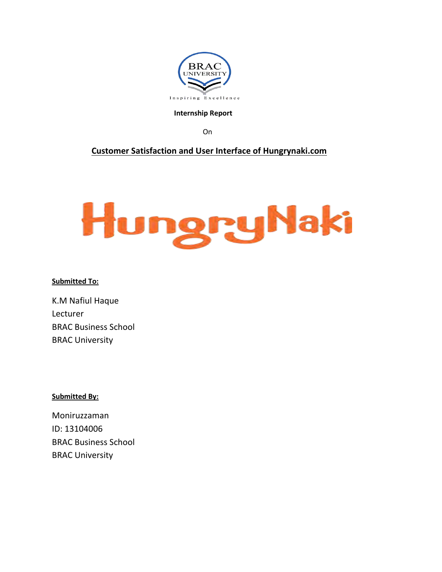

#### **Internship Report**

**Contract Contract Contract Contract Contract Contract Contract Contract Contract Contract Contract Contract Contract Contract Contract Contract Contract Contract Contract Contract Contract Contract Contract Contract Contr** 

# **Customer Satisfaction and User Interface of Hungrynaki.com**

# HungryNaki

#### **Submitted To:**

K.M Nafiul Haque Lecturer BRAC Business School BRAC University

#### **Submitted By:**

Moniruzzaman ID: 13104006 BRAC Business School BRAC University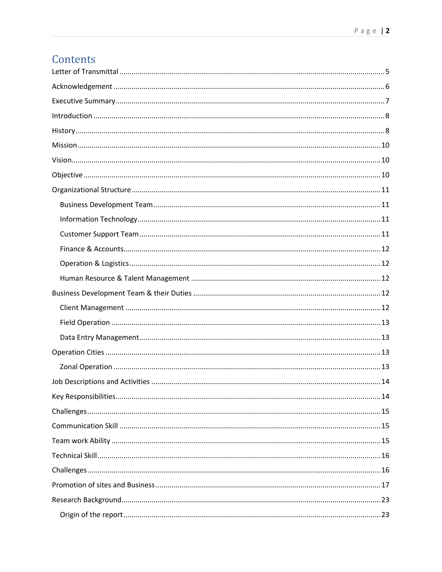# Contents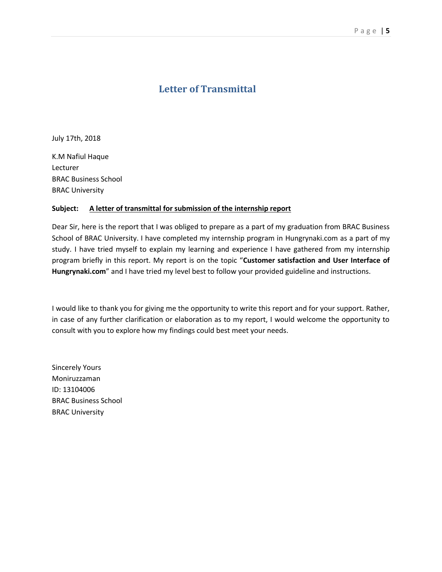# <span id="page-4-0"></span> **Letter of Transmittal**

July 17th, 2018

K.M Nafiul Haque Lecturer BRAC Business School BRAC University

#### **Subject: A letter of transmittal for submission of the internship report**

Dear Sir, here is the report that I was obliged to prepare as a part of my graduation from BRAC Business School of BRAC University. I have completed my internship program in Hungrynaki.com as a part of my study. I have tried myself to explain my learning and experience I have gathered from my internship program briefly in this report. My report is on the topic "**Customer satisfaction and User Interface of Hungrynaki.com**" and I have tried my level best to follow your provided guideline and instructions.

I would like to thank you for giving me the opportunity to write this report and for your support. Rather, in case of any further clarification or elaboration as to my report, I would welcome the opportunity to consult with you to explore how my findings could best meet your needs.

Sincerely Yours Moniruzzaman ID: 13104006 BRAC Business School BRAC University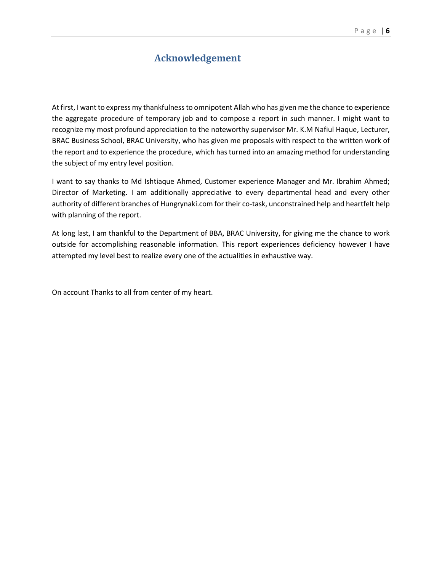# <span id="page-5-0"></span> **Acknowledgement**

At first, I want to express my thankfulness to omnipotent Allah who has given me the chance to experience the aggregate procedure of temporary job and to compose a report in such manner. I might want to recognize my most profound appreciation to the noteworthy supervisor Mr. K.M Nafiul Haque, Lecturer, BRAC Business School, BRAC University, who has given me proposals with respect to the written work of the report and to experience the procedure, which has turned into an amazing method for understanding the subject of my entry level position.

I want to say thanks to Md Ishtiaque Ahmed, Customer experience Manager and Mr. Ibrahim Ahmed; Director of Marketing. I am additionally appreciative to every departmental head and every other authority of different branches of Hungrynaki.com for their co-task, unconstrained help and heartfelt help with planning of the report.

At long last, I am thankful to the Department of BBA, BRAC University, for giving me the chance to work outside for accomplishing reasonable information. This report experiences deficiency however I have attempted my level best to realize every one of the actualities in exhaustive way.

On account Thanks to all from center of my heart.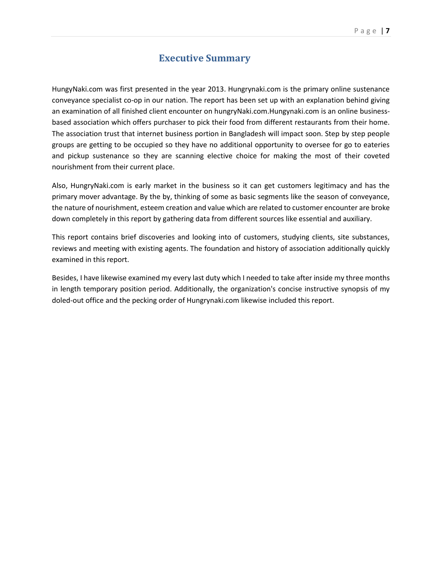# <span id="page-6-0"></span> **Executive Summary**

HungyNaki.com was first presented in the year 2013. Hungrynaki.com is the primary online sustenance conveyance specialist co-op in our nation. The report has been set up with an explanation behind giving an examination of all finished client encounter on hungryNaki.com.Hungynaki.com is an online businessbased association which offers purchaser to pick their food from different restaurants from their home. The association trust that internet business portion in Bangladesh will impact soon. Step by step people groups are getting to be occupied so they have no additional opportunity to oversee for go to eateries and pickup sustenance so they are scanning elective choice for making the most of their coveted nourishment from their current place.

Also, HungryNaki.com is early market in the business so it can get customers legitimacy and has the primary mover advantage. By the by, thinking of some as basic segments like the season of conveyance, the nature of nourishment, esteem creation and value which are related to customer encounter are broke down completely in this report by gathering data from different sources like essential and auxiliary.

This report contains brief discoveries and looking into of customers, studying clients, site substances, reviews and meeting with existing agents. The foundation and history of association additionally quickly examined in this report.

Besides, I have likewise examined my every last duty which I needed to take after inside my three months in length temporary position period. Additionally, the organization's concise instructive synopsis of my doled-out office and the pecking order of Hungrynaki.com likewise included this report.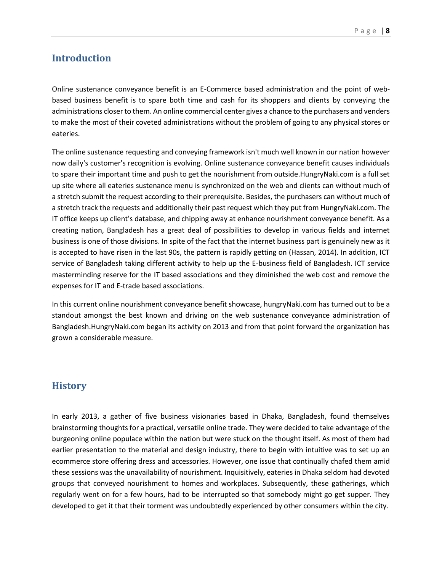# <span id="page-7-0"></span>**Introduction**

Online sustenance conveyance benefit is an E-Commerce based administration and the point of webbased business benefit is to spare both time and cash for its shoppers and clients by conveying the administrations closer to them. An online commercial center gives a chance to the purchasers and venders to make the most of their coveted administrations without the problem of going to any physical stores or eateries.

The online sustenance requesting and conveying framework isn't much well known in our nation however now daily's customer's recognition is evolving. Online sustenance conveyance benefit causes individuals to spare their important time and push to get the nourishment from outside.HungryNaki.com is a full set up site where all eateries sustenance menu is synchronized on the web and clients can without much of a stretch submit the request according to their prerequisite. Besides, the purchasers can without much of a stretch track the requests and additionally their past request which they put from HungryNaki.com. The IT office keeps up client's database, and chipping away at enhance nourishment conveyance benefit. As a creating nation, Bangladesh has a great deal of possibilities to develop in various fields and internet business is one of those divisions. In spite of the fact that the internet business part is genuinely new as it is accepted to have risen in the last 90s, the pattern is rapidly getting on (Hassan, 2014). In addition, ICT service of Bangladesh taking different activity to help up the E-business field of Bangladesh. ICT service masterminding reserve for the IT based associations and they diminished the web cost and remove the expenses for IT and E-trade based associations.

In this current online nourishment conveyance benefit showcase, hungryNaki.com has turned out to be a standout amongst the best known and driving on the web sustenance conveyance administration of Bangladesh.HungryNaki.com began its activity on 2013 and from that point forward the organization has grown a considerable measure.

# <span id="page-7-1"></span>**History**

In early 2013, a gather of five business visionaries based in Dhaka, Bangladesh, found themselves brainstorming thoughts for a practical, versatile online trade. They were decided to take advantage of the burgeoning online populace within the nation but were stuck on the thought itself. As most of them had earlier presentation to the material and design industry, there to begin with intuitive was to set up an ecommerce store offering dress and accessories. However, one issue that continually chafed them amid these sessions was the unavailability of nourishment. Inquisitively, eateries in Dhaka seldom had devoted groups that conveyed nourishment to homes and workplaces. Subsequently, these gatherings, which regularly went on for a few hours, had to be interrupted so that somebody might go get supper. They developed to get it that their torment was undoubtedly experienced by other consumers within the city.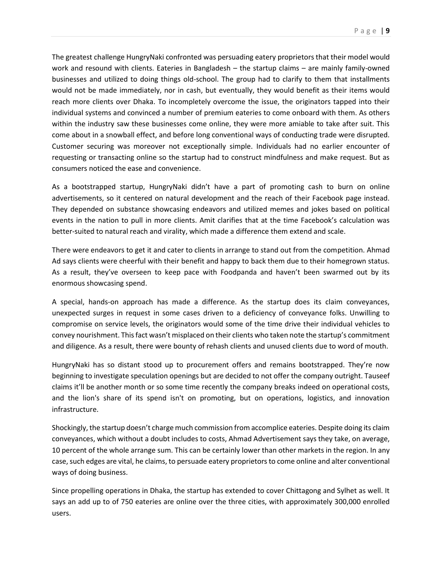The greatest challenge HungryNaki confronted was persuading eatery proprietors that their model would work and resound with clients. Eateries in Bangladesh – the startup claims – are mainly family-owned businesses and utilized to doing things old-school. The group had to clarify to them that installments would not be made immediately, nor in cash, but eventually, they would benefit as their items would reach more clients over Dhaka. To incompletely overcome the issue, the originators tapped into their individual systems and convinced a number of premium eateries to come onboard with them. As others within the industry saw these businesses come online, they were more amiable to take after suit. This come about in a snowball effect, and before long conventional ways of conducting trade were disrupted. Customer securing was moreover not exceptionally simple. Individuals had no earlier encounter of requesting or transacting online so the startup had to construct mindfulness and make request. But as consumers noticed the ease and convenience.

As a bootstrapped startup, HungryNaki didn't have a part of promoting cash to burn on online advertisements, so it centered on natural development and the reach of their Facebook page instead. They depended on substance showcasing endeavors and utilized memes and jokes based on political events in the nation to pull in more clients. Amit clarifies that at the time Facebook's calculation was better-suited to natural reach and virality, which made a difference them extend and scale.

There were endeavors to get it and cater to clients in arrange to stand out from the competition. Ahmad Ad says clients were cheerful with their benefit and happy to back them due to their homegrown status. As a result, they've overseen to keep pace with Foodpanda and haven't been swarmed out by its enormous showcasing spend.

A special, hands-on approach has made a difference. As the startup does its claim conveyances, unexpected surges in request in some cases driven to a deficiency of conveyance folks. Unwilling to compromise on service levels, the originators would some of the time drive their individual vehicles to convey nourishment. This fact wasn't misplaced on their clients who taken note the startup's commitment and diligence. As a result, there were bounty of rehash clients and unused clients due to word of mouth.

HungryNaki has so distant stood up to procurement offers and remains bootstrapped. They're now beginning to investigate speculation openings but are decided to not offer the company outright. Tauseef claims it'll be another month or so some time recently the company breaks indeed on operational costs, and the lion's share of its spend isn't on promoting, but on operations, logistics, and innovation infrastructure.

Shockingly, the startup doesn't charge much commission from accomplice eateries. Despite doing its claim conveyances, which without a doubt includes to costs, Ahmad Advertisement says they take, on average, 10 percent of the whole arrange sum. This can be certainly lower than other markets in the region. In any case, such edges are vital, he claims, to persuade eatery proprietors to come online and alter conventional ways of doing business.

Since propelling operations in Dhaka, the startup has extended to cover Chittagong and Sylhet as well. It says an add up to of 750 eateries are online over the three cities, with approximately 300,000 enrolled users.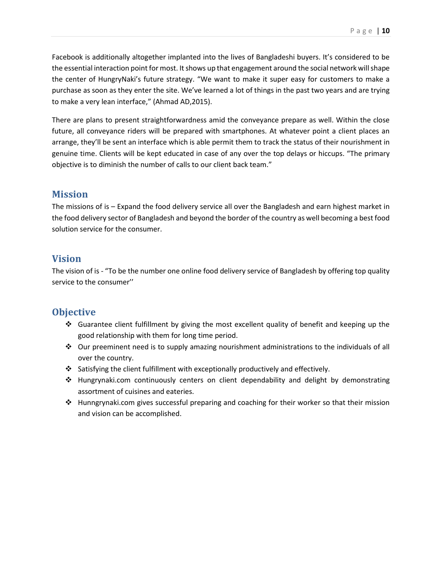Facebook is additionally altogether implanted into the lives of Bangladeshi buyers. It's considered to be the essential interaction point for most. It shows up that engagement around the social network will shape the center of HungryNaki's future strategy. "We want to make it super easy for customers to make a purchase as soon as they enter the site. We've learned a lot of things in the past two years and are trying to make a very lean interface," (Ahmad AD,2015).

There are plans to present straightforwardness amid the conveyance prepare as well. Within the close future, all conveyance riders will be prepared with smartphones. At whatever point a client places an arrange, they'll be sent an interface which is able permit them to track the status of their nourishment in genuine time. Clients will be kept educated in case of any over the top delays or hiccups. "The primary objective is to diminish the number of calls to our client back team."

## <span id="page-9-0"></span>**Mission**

The missions of is – Expand the food delivery service all over the Bangladesh and earn highest market in the food delivery sector of Bangladesh and beyond the border of the country as well becoming a best food solution service for the consumer.

## <span id="page-9-1"></span>**Vision**

The vision of is - "To be the number one online food delivery service of Bangladesh by offering top quality service to the consumer''

# <span id="page-9-2"></span>**Objective**

- ❖ Guarantee client fulfillment by giving the most excellent quality of benefit and keeping up the good relationship with them for long time period.
- ◆ Our preeminent need is to supply amazing nourishment administrations to the individuals of all over the country.
- ❖ Satisfying the client fulfillment with exceptionally productively and effectively.
- ❖ Hungrynaki.com continuously centers on client dependability and delight by demonstrating assortment of cuisines and eateries.
- ❖ Hunngrynaki.com gives successful preparing and coaching for their worker so that their mission and vision can be accomplished.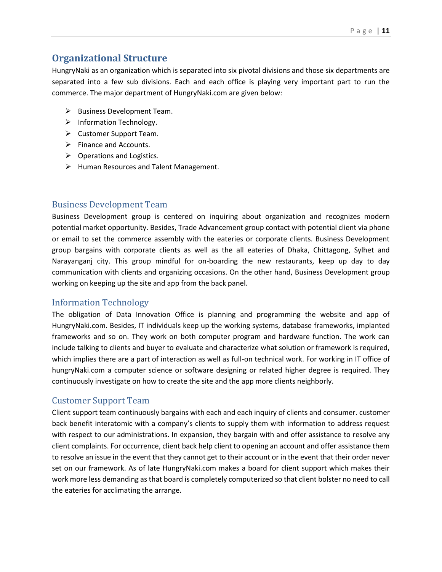# <span id="page-10-0"></span>**Organizational Structure**

HungryNaki as an organization which is separated into six pivotal divisions and those six departments are separated into a few sub divisions. Each and each office is playing very important part to run the commerce. The major department of HungryNaki.com are given below:

- ➢ Business Development Team.
- ➢ Information Technology.
- ➢ Customer Support Team.
- ➢ Finance and Accounts.
- $\triangleright$  Operations and Logistics.
- ➢ Human Resources and Talent Management.

#### <span id="page-10-1"></span>Business Development Team

Business Development group is centered on inquiring about organization and recognizes modern potential market opportunity. Besides, Trade Advancement group contact with potential client via phone or email to set the commerce assembly with the eateries or corporate clients. Business Development group bargains with corporate clients as well as the all eateries of Dhaka, Chittagong, Sylhet and Narayanganj city. This group mindful for on-boarding the new restaurants, keep up day to day communication with clients and organizing occasions. On the other hand, Business Development group working on keeping up the site and app from the back panel.

#### <span id="page-10-2"></span>Information Technology

The obligation of Data Innovation Office is planning and programming the website and app of HungryNaki.com. Besides, IT individuals keep up the working systems, database frameworks, implanted frameworks and so on. They work on both computer program and hardware function. The work can include talking to clients and buyer to evaluate and characterize what solution or framework is required, which implies there are a part of interaction as well as full-on technical work. For working in IT office of hungryNaki.com a computer science or software designing or related higher degree is required. They continuously investigate on how to create the site and the app more clients neighborly.

#### <span id="page-10-3"></span>Customer Support Team

Client support team continuously bargains with each and each inquiry of clients and consumer. customer back benefit interatomic with a company's clients to supply them with information to address request with respect to our administrations. In expansion, they bargain with and offer assistance to resolve any client complaints. For occurrence, client back help client to opening an account and offer assistance them to resolve an issue in the event that they cannot get to their account or in the event that their order never set on our framework. As of late HungryNaki.com makes a board for client support which makes their work more less demanding as that board is completely computerized so that client bolster no need to call the eateries for acclimating the arrange.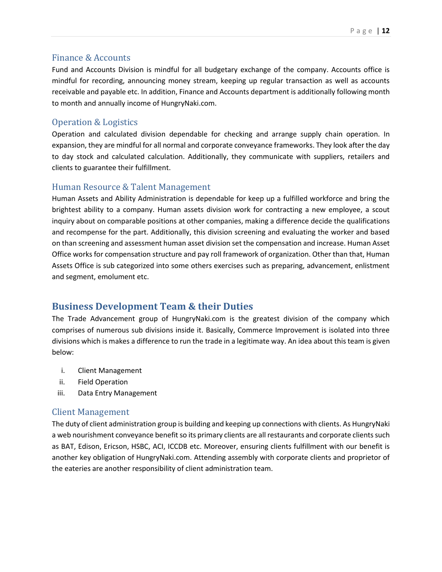#### <span id="page-11-0"></span>Finance & Accounts

Fund and Accounts Division is mindful for all budgetary exchange of the company. Accounts office is mindful for recording, announcing money stream, keeping up regular transaction as well as accounts receivable and payable etc. In addition, Finance and Accounts department is additionally following month to month and annually income of HungryNaki.com.

#### <span id="page-11-1"></span>Operation & Logistics

Operation and calculated division dependable for checking and arrange supply chain operation. In expansion, they are mindful for all normal and corporate conveyance frameworks. They look after the day to day stock and calculated calculation. Additionally, they communicate with suppliers, retailers and clients to guarantee their fulfillment.

#### <span id="page-11-2"></span>Human Resource & Talent Management

Human Assets and Ability Administration is dependable for keep up a fulfilled workforce and bring the brightest ability to a company. Human assets division work for contracting a new employee, a scout inquiry about on comparable positions at other companies, making a difference decide the qualifications and recompense for the part. Additionally, this division screening and evaluating the worker and based on than screening and assessment human asset division set the compensation and increase. Human Asset Office works for compensation structure and pay roll framework of organization. Other than that, Human Assets Office is sub categorized into some others exercises such as preparing, advancement, enlistment and segment, emolument etc.

# <span id="page-11-3"></span>**Business Development Team & their Duties**

The Trade Advancement group of HungryNaki.com is the greatest division of the company which comprises of numerous sub divisions inside it. Basically, Commerce Improvement is isolated into three divisions which is makes a difference to run the trade in a legitimate way. An idea about this team is given below:

- i. Client Management
- ii. Field Operation
- iii. Data Entry Management

#### <span id="page-11-4"></span>Client Management

The duty of client administration group is building and keeping up connections with clients. As HungryNaki a web nourishment conveyance benefit so its primary clients are all restaurants and corporate clients such as BAT, Edison, Ericson, HSBC, ACI, ICCDB etc. Moreover, ensuring clients fulfillment with our benefit is another key obligation of HungryNaki.com. Attending assembly with corporate clients and proprietor of the eateries are another responsibility of client administration team.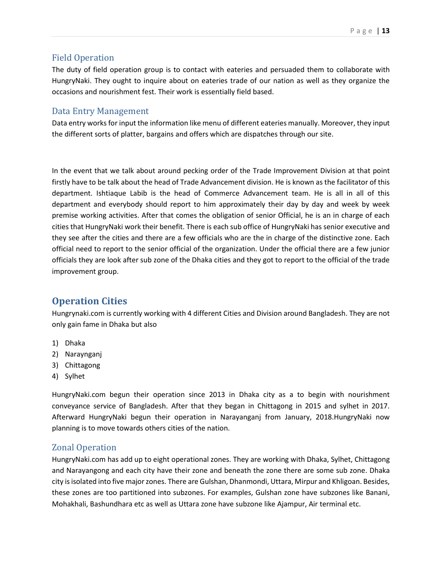#### <span id="page-12-0"></span>Field Operation

The duty of field operation group is to contact with eateries and persuaded them to collaborate with HungryNaki. They ought to inquire about on eateries trade of our nation as well as they organize the occasions and nourishment fest. Their work is essentially field based.

#### <span id="page-12-1"></span>Data Entry Management

Data entry works for input the information like menu of different eateries manually. Moreover, they input the different sorts of platter, bargains and offers which are dispatches through our site.

In the event that we talk about around pecking order of the Trade Improvement Division at that point firstly have to be talk about the head of Trade Advancement division. He is known as the facilitator of this department. Ishtiaque Labib is the head of Commerce Advancement team. He is all in all of this department and everybody should report to him approximately their day by day and week by week premise working activities. After that comes the obligation of senior Official, he is an in charge of each cities that HungryNaki work their benefit. There is each sub office of HungryNaki has senior executive and they see after the cities and there are a few officials who are the in charge of the distinctive zone. Each official need to report to the senior official of the organization. Under the official there are a few junior officials they are look after sub zone of the Dhaka cities and they got to report to the official of the trade improvement group.

# <span id="page-12-2"></span>**Operation Cities**

Hungrynaki.com is currently working with 4 different Cities and Division around Bangladesh. They are not only gain fame in Dhaka but also

- 1) Dhaka
- 2) Naraynganj
- 3) Chittagong
- 4) Sylhet

HungryNaki.com begun their operation since 2013 in Dhaka city as a to begin with nourishment conveyance service of Bangladesh. After that they began in Chittagong in 2015 and sylhet in 2017. Afterward HungryNaki begun their operation in Narayanganj from January, 2018.HungryNaki now planning is to move towards others cities of the nation.

#### <span id="page-12-3"></span>Zonal Operation

HungryNaki.com has add up to eight operational zones. They are working with Dhaka, Sylhet, Chittagong and Narayangong and each city have their zone and beneath the zone there are some sub zone. Dhaka city is isolated into five major zones. There are Gulshan, Dhanmondi, Uttara, Mirpur and Khligoan. Besides, these zones are too partitioned into subzones. For examples, Gulshan zone have subzones like Banani, Mohakhali, Bashundhara etc as well as Uttara zone have subzone like Ajampur, Air terminal etc.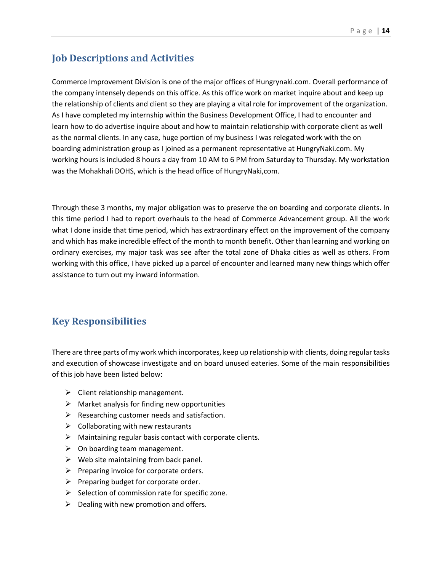# <span id="page-13-0"></span>**Job Descriptions and Activities**

Commerce Improvement Division is one of the major offices of Hungrynaki.com. Overall performance of the company intensely depends on this office. As this office work on market inquire about and keep up the relationship of clients and client so they are playing a vital role for improvement of the organization. As I have completed my internship within the Business Development Office, I had to encounter and learn how to do advertise inquire about and how to maintain relationship with corporate client as well as the normal clients. In any case, huge portion of my business I was relegated work with the on boarding administration group as I joined as a permanent representative at HungryNaki.com. My working hours is included 8 hours a day from 10 AM to 6 PM from Saturday to Thursday. My workstation was the Mohakhali DOHS, which is the head office of HungryNaki,com.

Through these 3 months, my major obligation was to preserve the on boarding and corporate clients. In this time period I had to report overhauls to the head of Commerce Advancement group. All the work what I done inside that time period, which has extraordinary effect on the improvement of the company and which has make incredible effect of the month to month benefit. Other than learning and working on ordinary exercises, my major task was see after the total zone of Dhaka cities as well as others. From working with this office, I have picked up a parcel of encounter and learned many new things which offer assistance to turn out my inward information.

# <span id="page-13-1"></span>**Key Responsibilities**

There are three parts of my work which incorporates, keep up relationship with clients, doing regular tasks and execution of showcase investigate and on board unused eateries. Some of the main responsibilities of this job have been listed below:

- $\triangleright$  Client relationship management.
- $\triangleright$  Market analysis for finding new opportunities
- $\triangleright$  Researching customer needs and satisfaction.
- $\triangleright$  Collaborating with new restaurants
- ➢ Maintaining regular basis contact with corporate clients.
- $\triangleright$  On boarding team management.
- $\triangleright$  Web site maintaining from back panel.
- $\triangleright$  Preparing invoice for corporate orders.
- $\triangleright$  Preparing budget for corporate order.
- $\triangleright$  Selection of commission rate for specific zone.
- $\triangleright$  Dealing with new promotion and offers.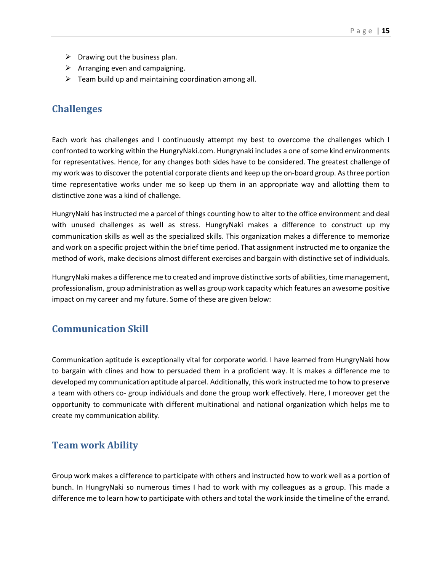- $\triangleright$  Drawing out the business plan.
- $\triangleright$  Arranging even and campaigning.
- ➢ Team build up and maintaining coordination among all.

# <span id="page-14-0"></span>**Challenges**

Each work has challenges and I continuously attempt my best to overcome the challenges which I confronted to working within the HungryNaki.com. Hungrynaki includes a one of some kind environments for representatives. Hence, for any changes both sides have to be considered. The greatest challenge of my work was to discover the potential corporate clients and keep up the on-board group. As three portion time representative works under me so keep up them in an appropriate way and allotting them to distinctive zone was a kind of challenge.

HungryNaki has instructed me a parcel of things counting how to alter to the office environment and deal with unused challenges as well as stress. HungryNaki makes a difference to construct up my communication skills as well as the specialized skills. This organization makes a difference to memorize and work on a specific project within the brief time period. That assignment instructed me to organize the method of work, make decisions almost different exercises and bargain with distinctive set of individuals.

HungryNaki makes a difference me to created and improve distinctive sorts of abilities, time management, professionalism, group administration as well as group work capacity which features an awesome positive impact on my career and my future. Some of these are given below:

# <span id="page-14-1"></span>**Communication Skill**

Communication aptitude is exceptionally vital for corporate world. I have learned from HungryNaki how to bargain with clines and how to persuaded them in a proficient way. It is makes a difference me to developed my communication aptitude al parcel. Additionally, this work instructed me to how to preserve a team with others co- group individuals and done the group work effectively. Here, I moreover get the opportunity to communicate with different multinational and national organization which helps me to create my communication ability.

# <span id="page-14-2"></span>**Team work Ability**

Group work makes a difference to participate with others and instructed how to work well as a portion of bunch. In HungryNaki so numerous times I had to work with my colleagues as a group. This made a difference me to learn how to participate with others and total the work inside the timeline of the errand.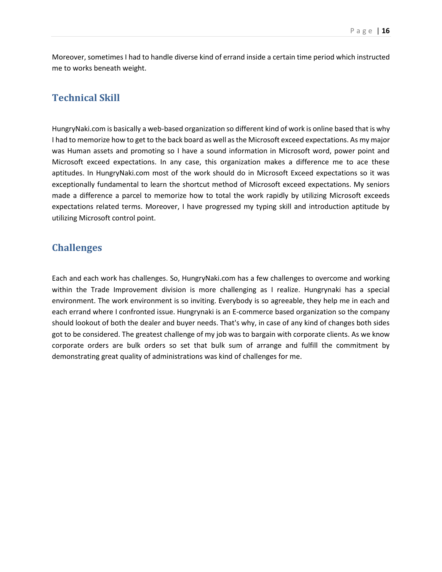Moreover, sometimes I had to handle diverse kind of errand inside a certain time period which instructed me to works beneath weight.

## <span id="page-15-0"></span>**Technical Skill**

HungryNaki.com is basically a web-based organization so different kind of work is online based that is why I had to memorize how to get to the back board as well as the Microsoft exceed expectations. As my major was Human assets and promoting so I have a sound information in Microsoft word, power point and Microsoft exceed expectations. In any case, this organization makes a difference me to ace these aptitudes. In HungryNaki.com most of the work should do in Microsoft Exceed expectations so it was exceptionally fundamental to learn the shortcut method of Microsoft exceed expectations. My seniors made a difference a parcel to memorize how to total the work rapidly by utilizing Microsoft exceeds expectations related terms. Moreover, I have progressed my typing skill and introduction aptitude by utilizing Microsoft control point.

## <span id="page-15-1"></span>**Challenges**

Each and each work has challenges. So, HungryNaki.com has a few challenges to overcome and working within the Trade Improvement division is more challenging as I realize. Hungrynaki has a special environment. The work environment is so inviting. Everybody is so agreeable, they help me in each and each errand where I confronted issue. Hungrynaki is an E-commerce based organization so the company should lookout of both the dealer and buyer needs. That's why, in case of any kind of changes both sides got to be considered. The greatest challenge of my job was to bargain with corporate clients. As we know corporate orders are bulk orders so set that bulk sum of arrange and fulfill the commitment by demonstrating great quality of administrations was kind of challenges for me.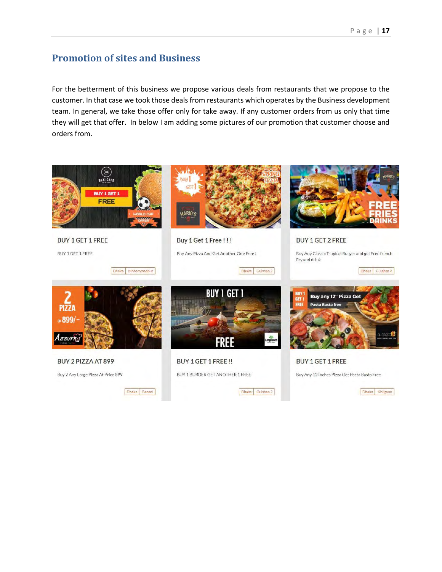# <span id="page-16-0"></span>**Promotion of sites and Business**

For the betterment of this business we propose various deals from restaurants that we propose to the customer. In that case we took those deals from restaurants which operates by the Business development team. In general, we take those offer only for take away. If any customer orders from us only that time they will get that offer. In below I am adding some pictures of our promotion that customer choose and orders from.

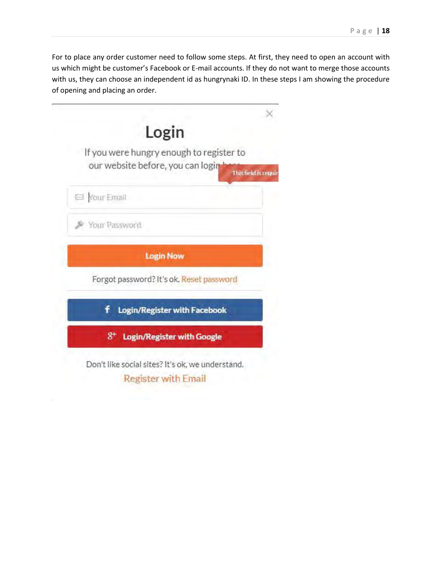For to place any order customer need to follow some steps. At first, they need to open an account with us which might be customer's Facebook or E-mail accounts. If they do not want to merge those accounts with us, they can choose an independent id as hungrynaki ID. In these steps I am showing the procedure of opening and placing an order.

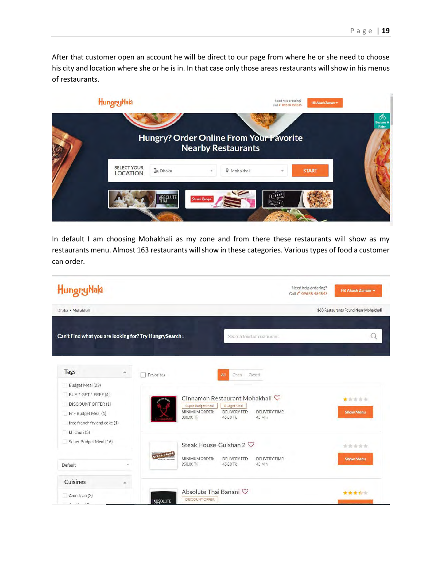After that customer open an account he will be direct to our page from where he or she need to choose his city and location where she or he is in. In that case only those areas restaurants will show in his menus of restaurants.



In default I am choosing Mohakhali as my zone and from there these restaurants will show as my restaurants menu. Almost 163 restaurants will show in these categories. Various types of food a customer can order.

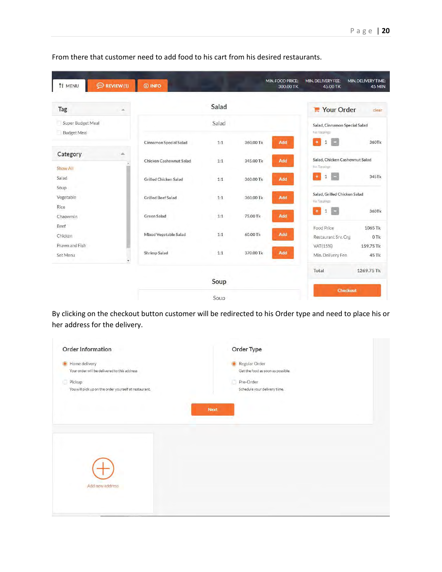

From there that customer need to add food to his cart from his desired restaurants.

By clicking on the checkout button customer will be redirected to his Order type and need to place his or her address for the delivery.

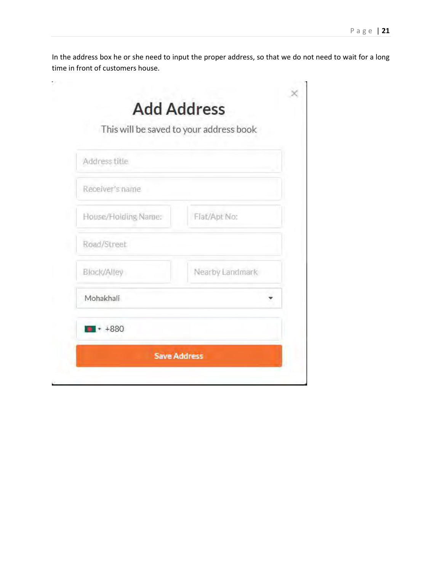In the address box he or she need to input the proper address, so that we do not need to wait for a long time in front of customers house.

| Address title       |                 |
|---------------------|-----------------|
| Receiver's name     |                 |
| House/Holding Name: | Flat/Apt No:    |
| Road/Street         |                 |
| Block/Alley         | Nearby Landmark |
| Mohakhali           |                 |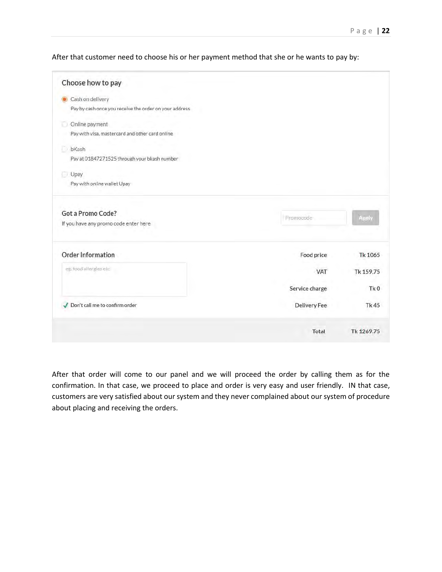After that customer need to choose his or her payment method that she or he wants to pay by:

| Choose how to pay                                      |                |                                              |
|--------------------------------------------------------|----------------|----------------------------------------------|
| Cash on delivery                                       |                |                                              |
| Pay by cash once you receive the order on your address |                |                                              |
| Online payment<br>$-1$                                 |                |                                              |
| Pay with visa, mastercard and other card online        |                |                                              |
| bKash                                                  |                |                                              |
| Pay at 01847271525 through your bkash number           |                |                                              |
| Upay                                                   |                |                                              |
| Pay with online wallet Upay                            |                |                                              |
| Got a Promo Code?                                      |                |                                              |
| If you have any promo code enter here                  | Promocode      | Apply                                        |
| Order Information                                      | Food price     | Tk 1065                                      |
|                                                        |                |                                              |
| eg. food allergies etc.                                | <b>VAT</b>     |                                              |
|                                                        | Service charge |                                              |
| √ Don't call me to confirm order                       | Delivery Fee   | Tk 159.75<br>Tk <sub>0</sub><br><b>Tk 45</b> |

After that order will come to our panel and we will proceed the order by calling them as for the confirmation. In that case, we proceed to place and order is very easy and user friendly. IN that case, customers are very satisfied about our system and they never complained about our system of procedure about placing and receiving the orders.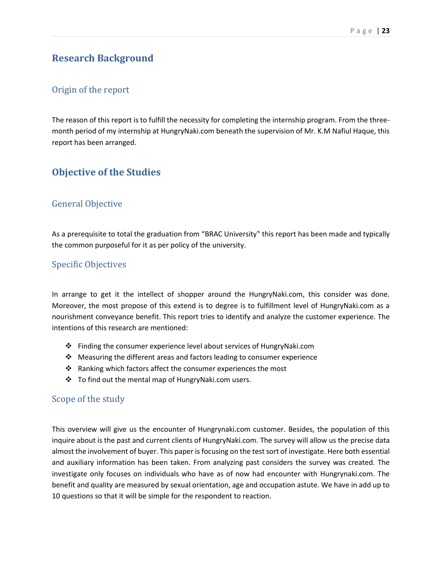# <span id="page-22-0"></span>**Research Background**

#### <span id="page-22-1"></span>Origin of the report

The reason of this report is to fulfill the necessity for completing the internship program. From the threemonth period of my internship at HungryNaki.com beneath the supervision of Mr. K.M Nafiul Haque, this report has been arranged.

# <span id="page-22-2"></span>**Objective of the Studies**

#### <span id="page-22-3"></span>General Objective

As a prerequisite to total the graduation from "BRAC University" this report has been made and typically the common purposeful for it as per policy of the university.

#### <span id="page-22-4"></span>Specific Objectives

In arrange to get it the intellect of shopper around the HungryNaki.com, this consider was done. Moreover, the most propose of this extend is to degree is to fulfillment level of HungryNaki.com as a nourishment conveyance benefit. This report tries to identify and analyze the customer experience. The intentions of this research are mentioned:

- ❖ Finding the consumer experience level about services of HungryNaki.com
- ❖ Measuring the different areas and factors leading to consumer experience
- ❖ Ranking which factors affect the consumer experiences the most
- ❖ To find out the mental map of HungryNaki.com users.

#### <span id="page-22-5"></span>Scope of the study

This overview will give us the encounter of Hungrynaki.com customer. Besides, the population of this inquire about is the past and current clients of HungryNaki.com. The survey will allow us the precise data almost the involvement of buyer. This paper is focusing on the test sort of investigate. Here both essential and auxiliary information has been taken. From analyzing past considers the survey was created. The investigate only focuses on individuals who have as of now had encounter with Hungrynaki.com. The benefit and quality are measured by sexual orientation, age and occupation astute. We have in add up to 10 questions so that it will be simple for the respondent to reaction.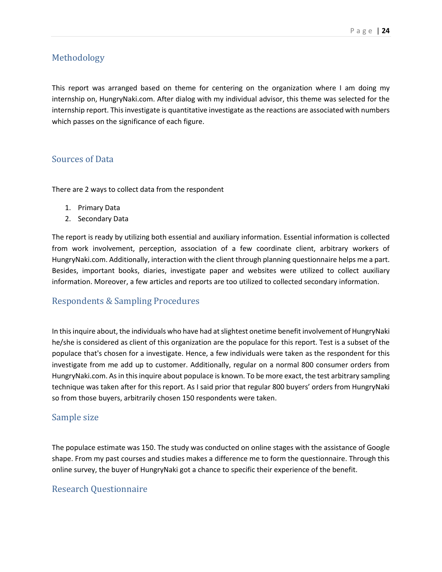#### <span id="page-23-0"></span>Methodology

This report was arranged based on theme for centering on the organization where I am doing my internship on, HungryNaki.com. After dialog with my individual advisor, this theme was selected for the internship report. This investigate is quantitative investigate as the reactions are associated with numbers which passes on the significance of each figure.

#### <span id="page-23-1"></span>Sources of Data

There are 2 ways to collect data from the respondent

- 1. Primary Data
- 2. Secondary Data

The report is ready by utilizing both essential and auxiliary information. Essential information is collected from work involvement, perception, association of a few coordinate client, arbitrary workers of HungryNaki.com. Additionally, interaction with the client through planning questionnaire helps me a part. Besides, important books, diaries, investigate paper and websites were utilized to collect auxiliary information. Moreover, a few articles and reports are too utilized to collected secondary information.

#### <span id="page-23-2"></span>Respondents & Sampling Procedures

In this inquire about, the individuals who have had at slightest onetime benefit involvement of HungryNaki he/she is considered as client of this organization are the populace for this report. Test is a subset of the populace that's chosen for a investigate. Hence, a few individuals were taken as the respondent for this investigate from me add up to customer. Additionally, regular on a normal 800 consumer orders from HungryNaki.com. As in this inquire about populace is known. To be more exact, the test arbitrary sampling technique was taken after for this report. As I said prior that regular 800 buyers' orders from HungryNaki so from those buyers, arbitrarily chosen 150 respondents were taken.

#### <span id="page-23-3"></span>Sample size

The populace estimate was 150. The study was conducted on online stages with the assistance of Google shape. From my past courses and studies makes a difference me to form the questionnaire. Through this online survey, the buyer of HungryNaki got a chance to specific their experience of the benefit.

#### <span id="page-23-4"></span>Research Questionnaire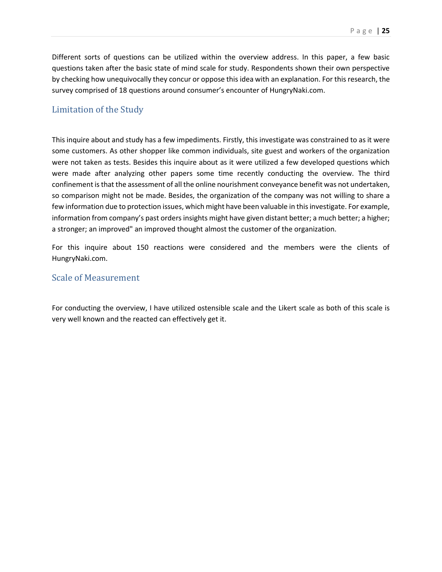Different sorts of questions can be utilized within the overview address. In this paper, a few basic questions taken after the basic state of mind scale for study. Respondents shown their own perspective by checking how unequivocally they concur or oppose this idea with an explanation. For this research, the survey comprised of 18 questions around consumer's encounter of HungryNaki.com.

#### <span id="page-24-0"></span>Limitation of the Study

This inquire about and study has a few impediments. Firstly, this investigate was constrained to as it were some customers. As other shopper like common individuals, site guest and workers of the organization were not taken as tests. Besides this inquire about as it were utilized a few developed questions which were made after analyzing other papers some time recently conducting the overview. The third confinement is that the assessment of all the online nourishment conveyance benefit was not undertaken, so comparison might not be made. Besides, the organization of the company was not willing to share a few information due to protection issues, which might have been valuable in this investigate. For example, information from company's past orders insights might have given distant better; a much better; a higher; a stronger; an improved" an improved thought almost the customer of the organization.

For this inquire about 150 reactions were considered and the members were the clients of HungryNaki.com.

#### <span id="page-24-1"></span>Scale of Measurement

For conducting the overview, I have utilized ostensible scale and the Likert scale as both of this scale is very well known and the reacted can effectively get it.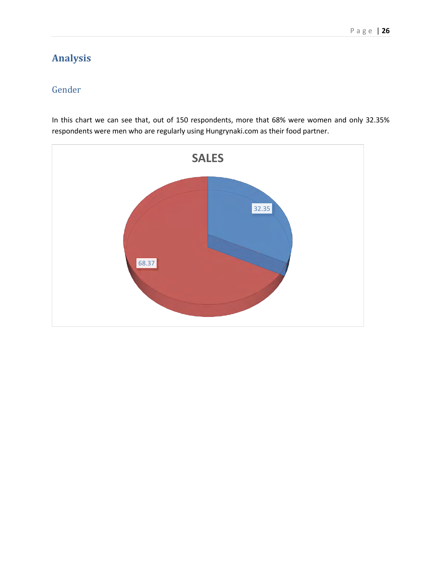# <span id="page-25-0"></span>**Analysis**

# <span id="page-25-1"></span>Gender

In this chart we can see that, out of 150 respondents, more that 68% were women and only 32.35% respondents were men who are regularly using Hungrynaki.com as their food partner.

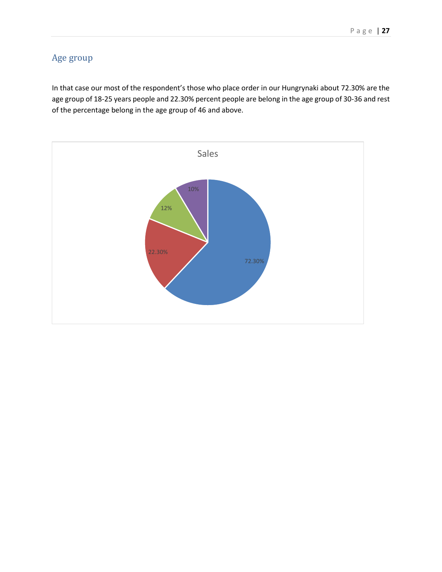# <span id="page-26-0"></span>Age group

In that case our most of the respondent's those who place order in our Hungrynaki about 72.30% are the age group of 18-25 years people and 22.30% percent people are belong in the age group of 30-36 and rest of the percentage belong in the age group of 46 and above.

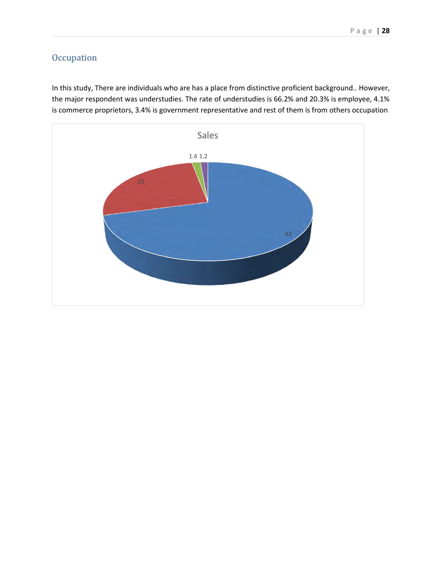# <span id="page-27-0"></span>**Occupation**

In this study, There are individuals who are has a place from distinctive proficient background.. However, the major respondent was understudies. The rate of understudies is 66.2% and 20.3% is employee, 4.1% is commerce proprietors, 3.4% is government representative and rest of them is from others occupation

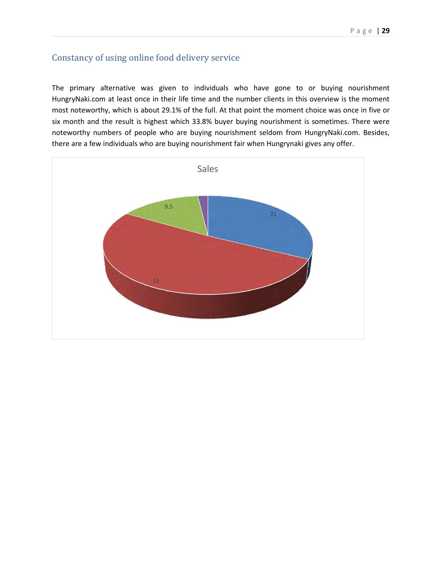# <span id="page-28-0"></span>Constancy of using online food delivery service

The primary alternative was given to individuals who have gone to or buying nourishment HungryNaki.com at least once in their life time and the number clients in this overview is the moment most noteworthy, which is about 29.1% of the full. At that point the moment choice was once in five or six month and the result is highest which 33.8% buyer buying nourishment is sometimes. There were noteworthy numbers of people who are buying nourishment seldom from HungryNaki.com. Besides, there are a few individuals who are buying nourishment fair when Hungrynaki gives any offer.

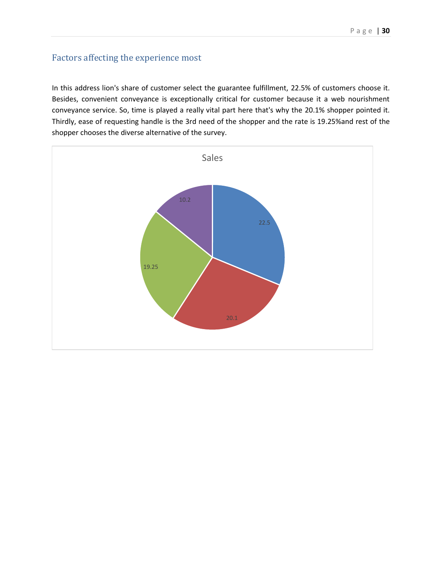# <span id="page-29-0"></span>Factors affecting the experience most

In this address lion's share of customer select the guarantee fulfillment, 22.5% of customers choose it. Besides, convenient conveyance is exceptionally critical for customer because it a web nourishment conveyance service. So, time is played a really vital part here that's why the 20.1% shopper pointed it. Thirdly, ease of requesting handle is the 3rd need of the shopper and the rate is 19.25%and rest of the shopper chooses the diverse alternative of the survey.

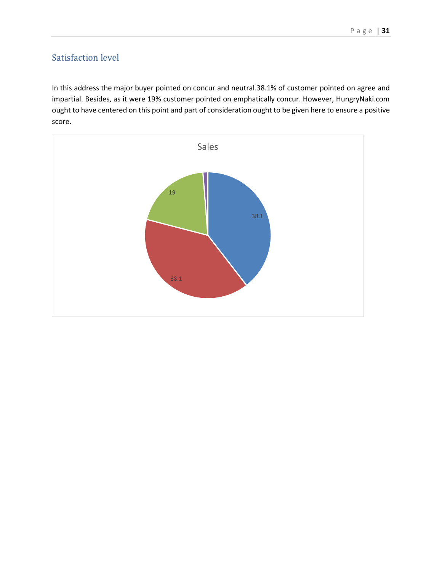# <span id="page-30-0"></span>Satisfaction level

In this address the major buyer pointed on concur and neutral.38.1% of customer pointed on agree and impartial. Besides, as it were 19% customer pointed on emphatically concur. However, HungryNaki.com ought to have centered on this point and part of consideration ought to be given here to ensure a positive score.

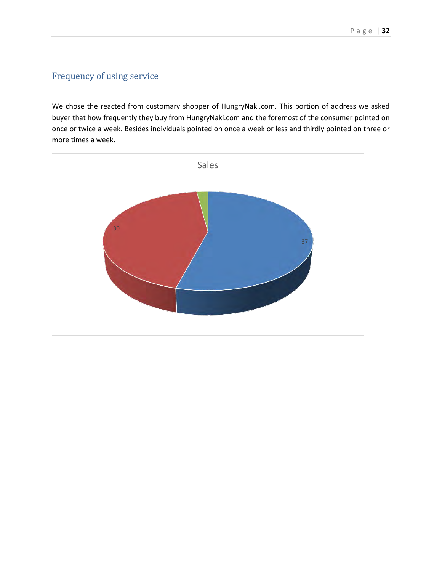## <span id="page-31-0"></span>Frequency of using service

We chose the reacted from customary shopper of HungryNaki.com. This portion of address we asked buyer that how frequently they buy from HungryNaki.com and the foremost of the consumer pointed on once or twice a week. Besides individuals pointed on once a week or less and thirdly pointed on three or more times a week.

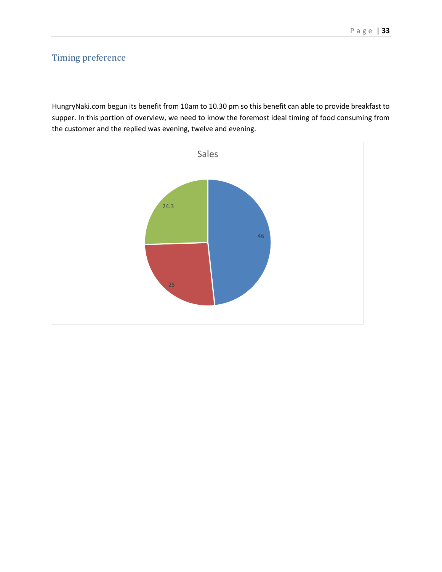# <span id="page-32-0"></span>Timing preference

HungryNaki.com begun its benefit from 10am to 10.30 pm so this benefit can able to provide breakfast to supper. In this portion of overview, we need to know the foremost ideal timing of food consuming from the customer and the replied was evening, twelve and evening.

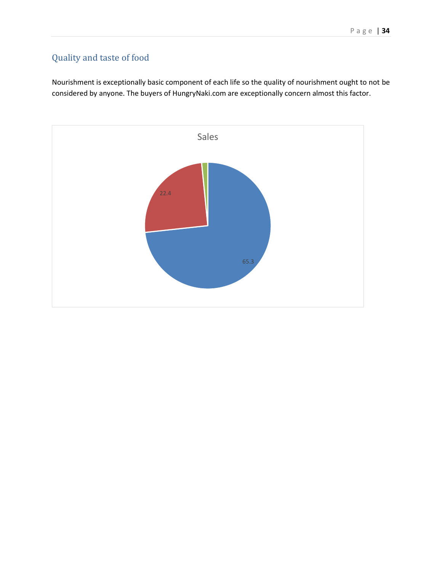# <span id="page-33-0"></span>Quality and taste of food



Nourishment is exceptionally basic component of each life so the quality of nourishment ought to not be considered by anyone. The buyers of HungryNaki.com are exceptionally concern almost this factor.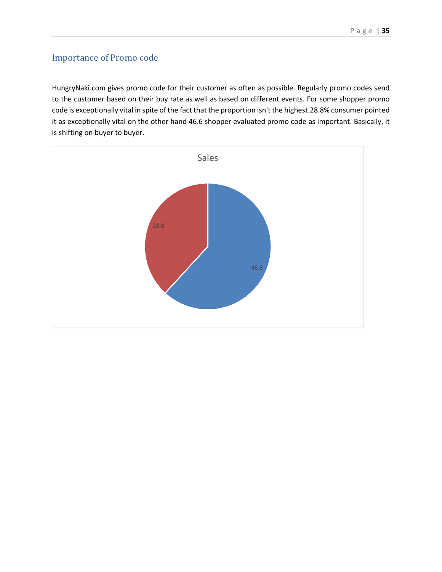# <span id="page-34-0"></span>Importance of Promo code

HungryNaki.com gives promo code for their customer as often as possible. Regularly promo codes send to the customer based on their buy rate as well as based on different events. For some shopper promo code is exceptionally vital in spite of the fact that the proportion isn't the highest.28.8% consumer pointed it as exceptionally vital on the other hand 46.6 shopper evaluated promo code as important. Basically, it is shifting on buyer to buyer.

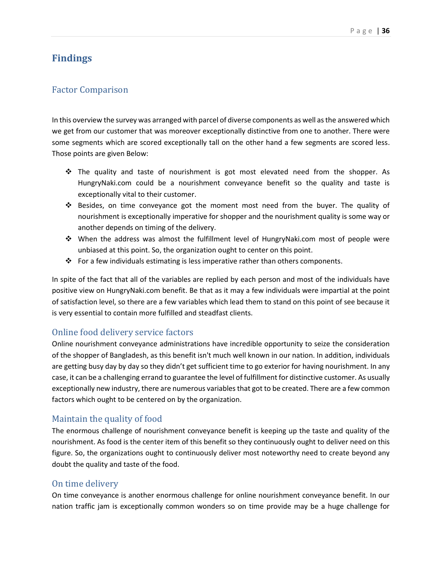# <span id="page-35-0"></span>**Findings**

#### <span id="page-35-1"></span>Factor Comparison

In this overview the survey was arranged with parcel of diverse components as well as the answered which we get from our customer that was moreover exceptionally distinctive from one to another. There were some segments which are scored exceptionally tall on the other hand a few segments are scored less. Those points are given Below:

- ❖ The quality and taste of nourishment is got most elevated need from the shopper. As HungryNaki.com could be a nourishment conveyance benefit so the quality and taste is exceptionally vital to their customer.
- ❖ Besides, on time conveyance got the moment most need from the buyer. The quality of nourishment is exceptionally imperative for shopper and the nourishment quality is some way or another depends on timing of the delivery.
- ❖ When the address was almost the fulfillment level of HungryNaki.com most of people were unbiased at this point. So, the organization ought to center on this point.
- ❖ For a few individuals estimating is less imperative rather than others components.

In spite of the fact that all of the variables are replied by each person and most of the individuals have positive view on HungryNaki.com benefit. Be that as it may a few individuals were impartial at the point of satisfaction level, so there are a few variables which lead them to stand on this point of see because it is very essential to contain more fulfilled and steadfast clients.

#### <span id="page-35-2"></span>Online food delivery service factors

Online nourishment conveyance administrations have incredible opportunity to seize the consideration of the shopper of Bangladesh, as this benefit isn't much well known in our nation. In addition, individuals are getting busy day by day so they didn't get sufficient time to go exterior for having nourishment. In any case, it can be a challenging errand to guarantee the level of fulfillment for distinctive customer. As usually exceptionally new industry, there are numerous variables that got to be created. There are a few common factors which ought to be centered on by the organization.

#### <span id="page-35-3"></span>Maintain the quality of food

The enormous challenge of nourishment conveyance benefit is keeping up the taste and quality of the nourishment. As food is the center item of this benefit so they continuously ought to deliver need on this figure. So, the organizations ought to continuously deliver most noteworthy need to create beyond any doubt the quality and taste of the food.

#### <span id="page-35-4"></span>On time delivery

On time conveyance is another enormous challenge for online nourishment conveyance benefit. In our nation traffic jam is exceptionally common wonders so on time provide may be a huge challenge for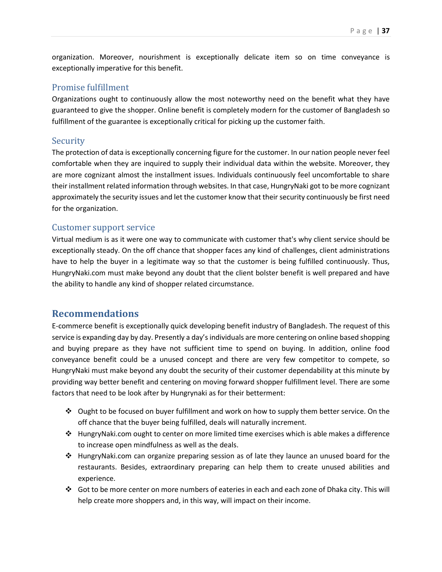organization. Moreover, nourishment is exceptionally delicate item so on time conveyance is exceptionally imperative for this benefit.

#### <span id="page-36-0"></span>Promise fulfillment

Organizations ought to continuously allow the most noteworthy need on the benefit what they have guaranteed to give the shopper. Online benefit is completely modern for the customer of Bangladesh so fulfillment of the guarantee is exceptionally critical for picking up the customer faith.

#### <span id="page-36-1"></span>**Security**

The protection of data is exceptionally concerning figure for the customer. In our nation people never feel comfortable when they are inquired to supply their individual data within the website. Moreover, they are more cognizant almost the installment issues. Individuals continuously feel uncomfortable to share their installment related information through websites. In that case, HungryNaki got to be more cognizant approximately the security issues and let the customer know that their security continuously be first need for the organization.

#### <span id="page-36-2"></span>Customer support service

Virtual medium is as it were one way to communicate with customer that's why client service should be exceptionally steady. On the off chance that shopper faces any kind of challenges, client administrations have to help the buyer in a legitimate way so that the customer is being fulfilled continuously. Thus, HungryNaki.com must make beyond any doubt that the client bolster benefit is well prepared and have the ability to handle any kind of shopper related circumstance.

# <span id="page-36-3"></span>**Recommendations**

E-commerce benefit is exceptionally quick developing benefit industry of Bangladesh. The request of this service is expanding day by day. Presently a day's individuals are more centering on online based shopping and buying prepare as they have not sufficient time to spend on buying. In addition, online food conveyance benefit could be a unused concept and there are very few competitor to compete, so HungryNaki must make beyond any doubt the security of their customer dependability at this minute by providing way better benefit and centering on moving forward shopper fulfillment level. There are some factors that need to be look after by Hungrynaki as for their betterment:

- ◆ Ought to be focused on buyer fulfillment and work on how to supply them better service. On the off chance that the buyer being fulfilled, deals will naturally increment.
- ❖ HungryNaki.com ought to center on more limited time exercises which is able makes a difference to increase open mindfulness as well as the deals.
- ❖ HungryNaki.com can organize preparing session as of late they launce an unused board for the restaurants. Besides, extraordinary preparing can help them to create unused abilities and experience.
- ❖ Got to be more center on more numbers of eateries in each and each zone of Dhaka city. This will help create more shoppers and, in this way, will impact on their income.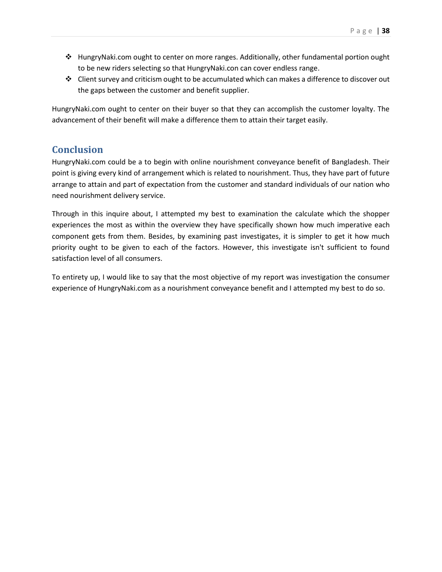- ❖ HungryNaki.com ought to center on more ranges. Additionally, other fundamental portion ought to be new riders selecting so that HungryNaki.con can cover endless range.
- ❖ Client survey and criticism ought to be accumulated which can makes a difference to discover out the gaps between the customer and benefit supplier.

HungryNaki.com ought to center on their buyer so that they can accomplish the customer loyalty. The advancement of their benefit will make a difference them to attain their target easily.

#### <span id="page-37-0"></span>**Conclusion**

HungryNaki.com could be a to begin with online nourishment conveyance benefit of Bangladesh. Their point is giving every kind of arrangement which is related to nourishment. Thus, they have part of future arrange to attain and part of expectation from the customer and standard individuals of our nation who need nourishment delivery service.

Through in this inquire about, I attempted my best to examination the calculate which the shopper experiences the most as within the overview they have specifically shown how much imperative each component gets from them. Besides, by examining past investigates, it is simpler to get it how much priority ought to be given to each of the factors. However, this investigate isn't sufficient to found satisfaction level of all consumers.

To entirety up, I would like to say that the most objective of my report was investigation the consumer experience of HungryNaki.com as a nourishment conveyance benefit and I attempted my best to do so.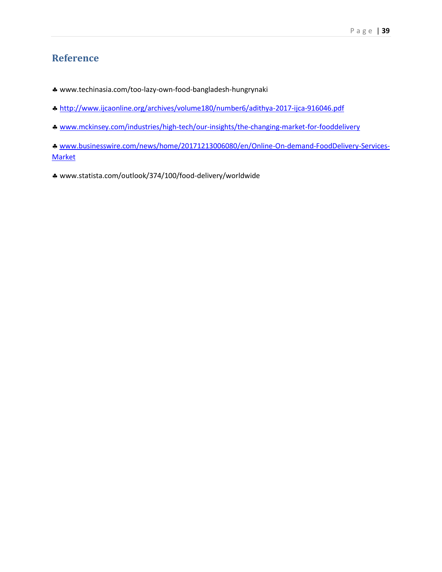# <span id="page-38-0"></span>**Reference**

- www.techinasia.com/too-lazy-own-food-bangladesh-hungrynaki
- <http://www.ijcaonline.org/archives/volume180/number6/adithya-2017-ijca-916046.pdf>
- [www.mckinsey.com/industries/high-tech/our-insights/the-changing-market-for-fooddelivery](http://www.mckinsey.com/industries/high-tech/our-insights/the-changing-market-for-fooddelivery)
- [www.businesswire.com/news/home/20171213006080/en/Online-On-demand-FoodDelivery-Services-](http://www.businesswire.com/news/home/20171213006080/en/Online-On-demand-FoodDelivery-Services-Market)[Market](http://www.businesswire.com/news/home/20171213006080/en/Online-On-demand-FoodDelivery-Services-Market)
- www.statista.com/outlook/374/100/food-delivery/worldwide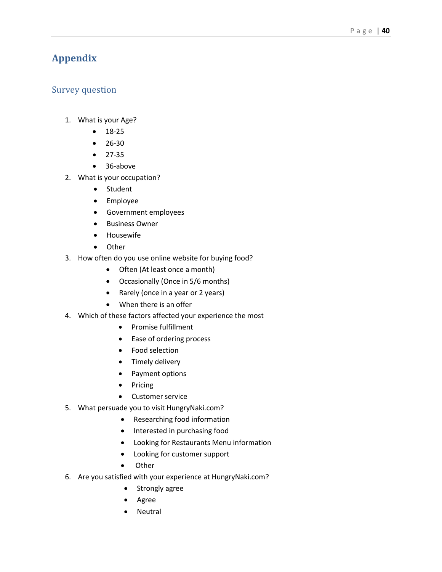# <span id="page-39-0"></span>**Appendix**

#### <span id="page-39-1"></span>Survey question

- 1. What is your Age?
	- 18-25
	- 26-30
	- $27-35$
	- 36-above
- 2. What is your occupation?
	- Student
	- Employee
	- Government employees
	- Business Owner
	- Housewife
	- Other
- 3. How often do you use online website for buying food?
	- Often (At least once a month)
	- Occasionally (Once in 5/6 months)
	- Rarely (once in a year or 2 years)
	- When there is an offer
- 4. Which of these factors affected your experience the most
	- Promise fulfillment
	- Ease of ordering process
	- Food selection
	- Timely delivery
	- Payment options
	- Pricing
	- Customer service
- 5. What persuade you to visit HungryNaki.com?
	- Researching food information
	- Interested in purchasing food
	- Looking for Restaurants Menu information
	- Looking for customer support
	- **Other**
- 6. Are you satisfied with your experience at HungryNaki.com?
	- Strongly agree
	- Agree
	- **Neutral**